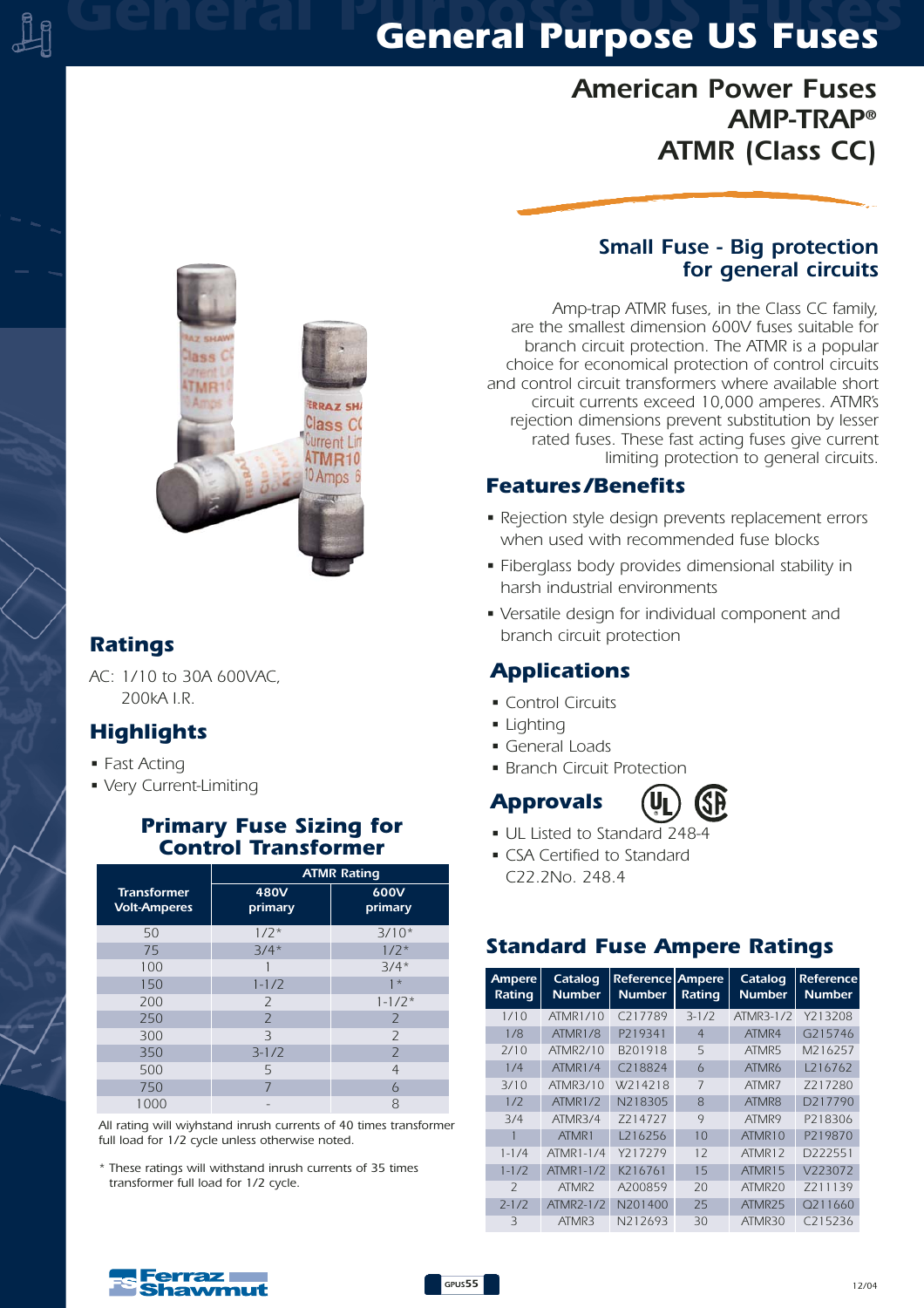# *General Purpose US Fuses General Purpose US Fuses*

# *American Power Fuses AMP-TRAP® ATMR (Class CC)*



## *Ratings*

*AC: 1/10 to 30A 600VAC, 200kA I.R.*

## *Highlights*

- *Fast Acting*
- *Very Current-Limiting*

#### *Primary Fuse Sizing for Control Transformer*

|                                           | <b>ATMR Rating</b> |                 |  |  |  |
|-------------------------------------------|--------------------|-----------------|--|--|--|
| <b>Transformer</b><br><b>Volt-Amperes</b> | 480V<br>primary    | 600V<br>primary |  |  |  |
| 50                                        | $1/2*$             | $3/10*$         |  |  |  |
| 75                                        | $3/4*$             | $1/2*$          |  |  |  |
| 100                                       |                    | $3/4*$          |  |  |  |
| 150                                       | $1 - 1/2$          | $\star$         |  |  |  |
| 200                                       | $\overline{2}$     | $1 - 1/2*$      |  |  |  |
| 250                                       | $\overline{2}$     | $\overline{2}$  |  |  |  |
| 300                                       | 3                  | $\overline{2}$  |  |  |  |
| 350                                       | $3 - 1/2$          | $\overline{2}$  |  |  |  |
| 500                                       | 5                  | $\overline{4}$  |  |  |  |
| 750                                       | 7                  | 6               |  |  |  |
| 1000                                      |                    | 8               |  |  |  |

*All rating will wiyhstand inrush currents of 40 times transformer full load for 1/2 cycle unless otherwise noted.*

*\* These ratings will withstand inrush currents of 35 times transformer full load for 1/2 cycle.*

#### *Small Fuse - Big protection for general circuits*

*Amp-trap ATMR fuses, in the Class CC family, are the smallest dimension 600V fuses suitable for branch circuit protection. The ATMR is a popular choice for economical protection of control circuits and control circuit transformers where available short circuit currents exceed 10,000 amperes. ATMR's rejection dimensions prevent substitution by lesser rated fuses. These fast acting fuses give current limiting protection to general circuits.*

#### *Features /Benefits*

- *Rejection style design prevents replacement errors when used with recommended fuse blocks*
- *Fiberglass body provides dimensional stability in harsh industrial environments*
- *Versatile design for individual component and branch circuit protection*

## *Applications*

- *Control Circuits*
- *Lighting*
- *General Loads*
- *Branch Circuit Protection*

# *Approvals*



- *UL Listed to Standard 248-4*
- *CSA Certified to Standard C22.2No. 248.4*

#### *Standard Fuse Ampere Ratings*

| Ampere<br>Rating | Catalog<br><b>Number</b> | Reference Ampere<br><b>Number</b> | Rating         | Catalog<br><b>Number</b> | <b>Reference</b><br><b>Number</b> |  |
|------------------|--------------------------|-----------------------------------|----------------|--------------------------|-----------------------------------|--|
| 1/10             | ATMR1/10                 | C <sub>217789</sub>               | $3-1/2$        | ATMR3-1/2                | Y213208                           |  |
| 1/8              | ATMR1/8                  | P219341                           | $\overline{4}$ | ATMR4                    | G215746                           |  |
| 7/10             | ATMR <sub>2/10</sub>     | B201918                           | 5              | ATMR5                    | M216257                           |  |
| 1/4              | ATMR1/4                  | C <sub>2</sub> 18824              | $\overline{6}$ | ATMR6                    | 1216762                           |  |
| 3/10             | ATMR3/10                 | W <sub>2</sub> 14218              | 7              | ATMR7                    | 7217280                           |  |
| 1/7              | <b>ATMR1/2</b>           | N218305                           | $\mathsf{R}$   | ATMR8                    | D217790                           |  |
| 3/4              | ATMR3/4                  | 7214727                           | 9              | ATMR9                    | P218306                           |  |
|                  | ATMR1                    | 1216256                           | 10             | ATMR10                   | P219870                           |  |
| $1 - 1/4$        | ATMR1-1/4                | Y217279                           | 12             | ATMR12                   | D222551                           |  |
| $1 - 1/2$        | ATMR1-1/2                | K216761                           | 15             | ATMR15                   | V223072                           |  |
| $\mathcal{L}$    | ATMR <sub>2</sub>        | A200859                           | 20             | ATMR <sub>20</sub>       | 7211139                           |  |
| $7 - 1/7$        | ATMR <sub>7</sub> -1/2   | N201400                           | 25             | ATMR <sub>25</sub>       | Q211660                           |  |
| Β                | ATMR3                    | N212693                           | 30             | ATMR30                   | C215236                           |  |